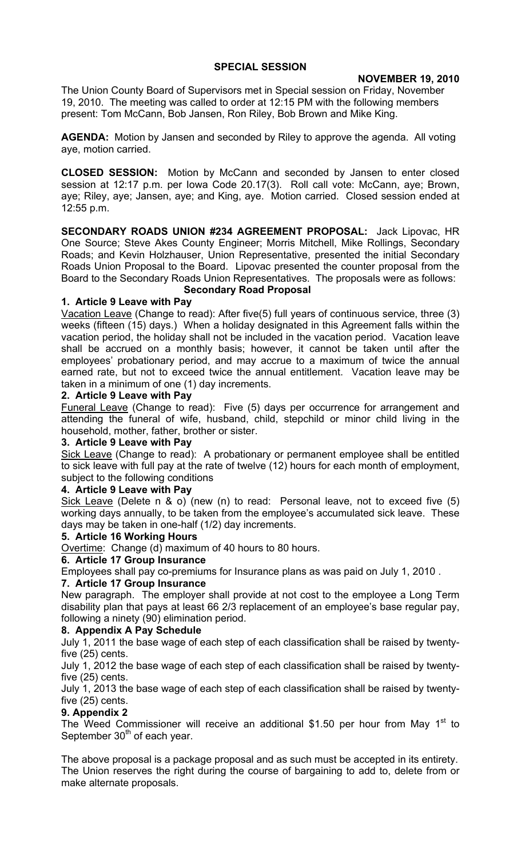# **SPECIAL SESSION**

#### **NOVEMBER 19, 2010**

The Union County Board of Supervisors met in Special session on Friday, November 19, 2010. The meeting was called to order at 12:15 PM with the following members present: Tom McCann, Bob Jansen, Ron Riley, Bob Brown and Mike King.

**AGENDA:** Motion by Jansen and seconded by Riley to approve the agenda. All voting aye, motion carried.

**CLOSED SESSION:** Motion by McCann and seconded by Jansen to enter closed session at 12:17 p.m. per Iowa Code 20.17(3). Roll call vote: McCann, aye; Brown, aye; Riley, aye; Jansen, aye; and King, aye. Motion carried. Closed session ended at 12:55 p.m.

**SECONDARY ROADS UNION #234 AGREEMENT PROPOSAL:** Jack Lipovac, HR One Source; Steve Akes County Engineer; Morris Mitchell, Mike Rollings, Secondary Roads; and Kevin Holzhauser, Union Representative, presented the initial Secondary Roads Union Proposal to the Board. Lipovac presented the counter proposal from the Board to the Secondary Roads Union Representatives. The proposals were as follows: **Secondary Road Proposal**

## **1. Article 9 Leave with Pay**

Vacation Leave (Change to read): After five(5) full years of continuous service, three (3) weeks (fifteen (15) days.) When a holiday designated in this Agreement falls within the vacation period, the holiday shall not be included in the vacation period. Vacation leave shall be accrued on a monthly basis; however, it cannot be taken until after the employees' probationary period, and may accrue to a maximum of twice the annual earned rate, but not to exceed twice the annual entitlement. Vacation leave may be taken in a minimum of one (1) day increments.

## **2. Article 9 Leave with Pay**

Funeral Leave (Change to read): Five (5) days per occurrence for arrangement and attending the funeral of wife, husband, child, stepchild or minor child living in the household, mother, father, brother or sister.

#### **3. Article 9 Leave with Pay**

Sick Leave (Change to read): A probationary or permanent employee shall be entitled to sick leave with full pay at the rate of twelve (12) hours for each month of employment, subject to the following conditions

#### **4. Article 9 Leave with Pay**

Sick Leave (Delete n & o) (new (n) to read: Personal leave, not to exceed five (5) working days annually, to be taken from the employee's accumulated sick leave. These days may be taken in one-half (1/2) day increments.

#### **5. Article 16 Working Hours**

Overtime: Change (d) maximum of 40 hours to 80 hours.

#### **6. Article 17 Group Insurance**

Employees shall pay co-premiums for Insurance plans as was paid on July 1, 2010 .

#### **7. Article 17 Group Insurance**

New paragraph. The employer shall provide at not cost to the employee a Long Term disability plan that pays at least 66 2/3 replacement of an employee's base regular pay, following a ninety (90) elimination period.

#### **8. Appendix A Pay Schedule**

July 1, 2011 the base wage of each step of each classification shall be raised by twentyfive (25) cents.

July 1, 2012 the base wage of each step of each classification shall be raised by twentyfive (25) cents.

July 1, 2013 the base wage of each step of each classification shall be raised by twentyfive (25) cents.

#### **9. Appendix 2**

The Weed Commissioner will receive an additional \$1.50 per hour from May  $1<sup>st</sup>$  to September  $30<sup>th</sup>$  of each year.

The above proposal is a package proposal and as such must be accepted in its entirety. The Union reserves the right during the course of bargaining to add to, delete from or make alternate proposals.